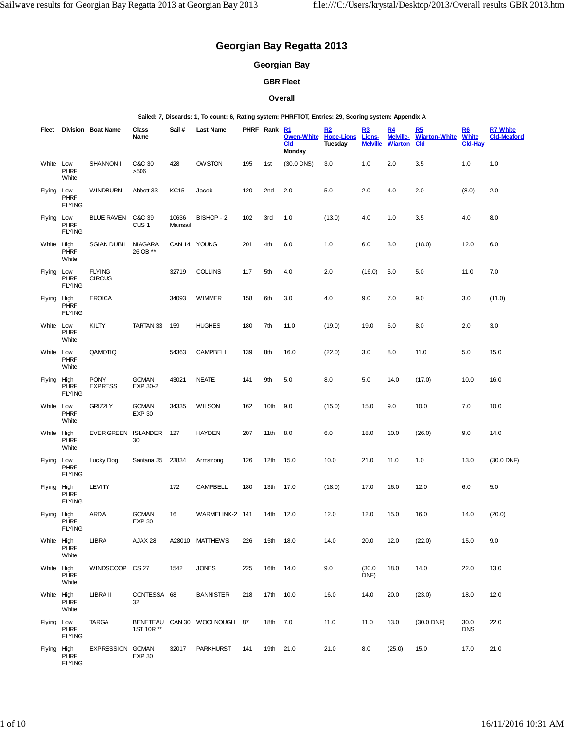# **Georgian Bay Regatta 2013**

# **Georgian Bay**

# **GBR Fleet**

# **Overall**

#### **Sailed: 7, Discards: 1, To count: 6, Rating system: PHRFTOT, Entries: 29, Scoring system: Appendix A**

| Fleet         |                                      | Division Boat Name             | Class<br>Name                 | Sail#             | Last Name                    |     | PHRF Rank        | R1<br>Owen-White<br><b>Cld</b><br><b>Monday</b> | R2<br><b>Hope-Lions</b><br>Tuesday | R3<br>Lions-<br><b>Melville</b> | R <sub>4</sub><br>Melville-<br><b>Wiarton</b> | R5<br><b>Wiarton-White</b><br><b>Cld</b> | R6<br><b>White</b><br><b>Cld-Hay</b> | <b>R7 White</b><br><b>Cld-Meaford</b> |
|---------------|--------------------------------------|--------------------------------|-------------------------------|-------------------|------------------------------|-----|------------------|-------------------------------------------------|------------------------------------|---------------------------------|-----------------------------------------------|------------------------------------------|--------------------------------------|---------------------------------------|
| White         | Low<br><b>PHRF</b><br>White          | <b>SHANNON I</b>               | C&C 30<br>>506                | 428               | <b>OWSTON</b>                | 195 | 1 <sub>st</sub>  | $(30.0$ DNS)                                    | 3.0                                | 1.0                             | 2.0                                           | 3.5                                      | 1.0                                  | 1.0                                   |
| Flying        | Low<br><b>PHRF</b><br><b>FLYING</b>  | <b>WINDBURN</b>                | Abbott 33                     | <b>KC15</b>       | Jacob                        | 120 | 2nd              | 2.0                                             | 5.0                                | 2.0                             | 4.0                                           | 2.0                                      | (8.0)                                | 2.0                                   |
| <b>Flying</b> | Low<br><b>PHRF</b><br><b>FLYING</b>  | <b>BLUE RAVEN</b>              | C&C 39<br>CUS <sub>1</sub>    | 10636<br>Mainsail | BISHOP - 2                   | 102 | 3rd              | 1.0                                             | (13.0)                             | 4.0                             | 1.0                                           | 3.5                                      | 4.0                                  | 8.0                                   |
| White High    | PHRF<br>White                        | <b>SGIAN DUBH</b>              | <b>NIAGARA</b><br>26 OB **    |                   | CAN 14 YOUNG                 | 201 | 4th              | 6.0                                             | 1.0                                | 6.0                             | 3.0                                           | (18.0)                                   | 12.0                                 | 6.0                                   |
| <b>Flying</b> | Low<br><b>PHRF</b><br><b>FLYING</b>  | <b>FLYING</b><br><b>CIRCUS</b> |                               | 32719             | <b>COLLINS</b>               | 117 | 5th              | 4.0                                             | 2.0                                | (16.0)                          | 5.0                                           | 5.0                                      | 11.0                                 | 7.0                                   |
| Flying High   | <b>PHRF</b><br><b>FLYING</b>         | <b>EROICA</b>                  |                               | 34093             | <b>WIMMER</b>                | 158 | 6th              | 3.0                                             | 4.0                                | 9.0                             | 7.0                                           | 9.0                                      | 3.0                                  | (11.0)                                |
| White Low     | <b>PHRF</b><br>White                 | KILTY                          | TARTAN 33                     | 159               | <b>HUGHES</b>                | 180 | 7th              | 11.0                                            | (19.0)                             | 19.0                            | 6.0                                           | 8.0                                      | 2.0                                  | 3.0                                   |
| White Low     | <b>PHRF</b><br>White                 | QAMOTIQ                        |                               | 54363             | CAMPBELL                     | 139 | 8th              | 16.0                                            | (22.0)                             | 3.0                             | 8.0                                           | 11.0                                     | 5.0                                  | 15.0                                  |
| Flying        | High<br><b>PHRF</b><br><b>FLYING</b> | <b>PONY</b><br><b>EXPRESS</b>  | <b>GOMAN</b><br>EXP 30-2      | 43021             | <b>NEATE</b>                 | 141 | 9th              | 5.0                                             | 8.0                                | 5.0                             | 14.0                                          | (17.0)                                   | 10.0                                 | 16.0                                  |
| White         | Low<br><b>PHRF</b><br>White          | <b>GRIZZLY</b>                 | <b>GOMAN</b><br><b>EXP 30</b> | 34335             | <b>WILSON</b>                | 162 | 10th             | 9.0                                             | (15.0)                             | 15.0                            | 9.0                                           | 10.0                                     | 7.0                                  | 10.0                                  |
| White         | High<br><b>PHRF</b><br>White         | <b>EVER GREEN</b>              | <b>ISLANDER</b><br>30         | 127               | <b>HAYDEN</b>                | 207 | 11th             | 8.0                                             | 6.0                                | 18.0                            | 10.0                                          | (26.0)                                   | 9.0                                  | 14.0                                  |
| <b>Flying</b> | Low<br><b>PHRF</b><br><b>FLYING</b>  | Lucky Dog                      | Santana 35                    | 23834             | Armstrong                    | 126 | 12 <sub>th</sub> | 15.0                                            | 10.0                               | 21.0                            | 11.0                                          | 1.0                                      | 13.0                                 | (30.0 DNF)                            |
| Flying High   | <b>PHRF</b><br><b>FLYING</b>         | LEVITY                         |                               | 172               | <b>CAMPBELL</b>              | 180 | 13th             | 17.0                                            | (18.0)                             | 17.0                            | 16.0                                          | 12.0                                     | 6.0                                  | 5.0                                   |
| Flying High   | <b>PHRF</b><br><b>FLYING</b>         | ARDA                           | <b>GOMAN</b><br><b>EXP 30</b> | 16                | WARMELINK-2 141              |     | 14th             | 12.0                                            | 12.0                               | 12.0                            | 15.0                                          | 16.0                                     | 14.0                                 | (20.0)                                |
| White High    | <b>PHRF</b><br>White                 | LIBRA                          | AJAX 28                       |                   | A28010 MATTHEWS              | 226 | 15th 18.0        |                                                 | 14.0                               | 20.0                            | 12.0                                          | (22.0)                                   | 15.0                                 | 9.0                                   |
| White High    | <b>PHRF</b><br>White                 | WINDSCOOP CS 27                |                               | 1542              | <b>JONES</b>                 | 225 | 16th 14.0        |                                                 | 9.0                                | (30.0)<br>DNF)                  | 18.0                                          | 14.0                                     | 22.0                                 | 13.0                                  |
| White High    | <b>PHRF</b><br>White                 | LIBRA II                       | CONTESSA 68<br>32             |                   | <b>BANNISTER</b>             | 218 | 17th             | 10.0                                            | 16.0                               | 14.0                            | 20.0                                          | (23.0)                                   | 18.0                                 | 12.0                                  |
| Flying Low    | <b>PHRF</b><br><b>FLYING</b>         | <b>TARGA</b>                   | 1ST 10R **                    |                   | BENETEAU CAN 30 WOOLNOUGH 87 |     | 18th 7.0         |                                                 | 11.0                               | 11.0                            | 13.0                                          | $(30.0$ DNF)                             | 30.0<br><b>DNS</b>                   | 22.0                                  |
| Flying High   | <b>PHRF</b><br><b>FLYING</b>         | EXPRESSION GOMAN               | <b>EXP 30</b>                 | 32017             | <b>PARKHURST</b>             | 141 | 19th 21.0        |                                                 | 21.0                               | 8.0                             | (25.0)                                        | 15.0                                     | 17.0                                 | 21.0                                  |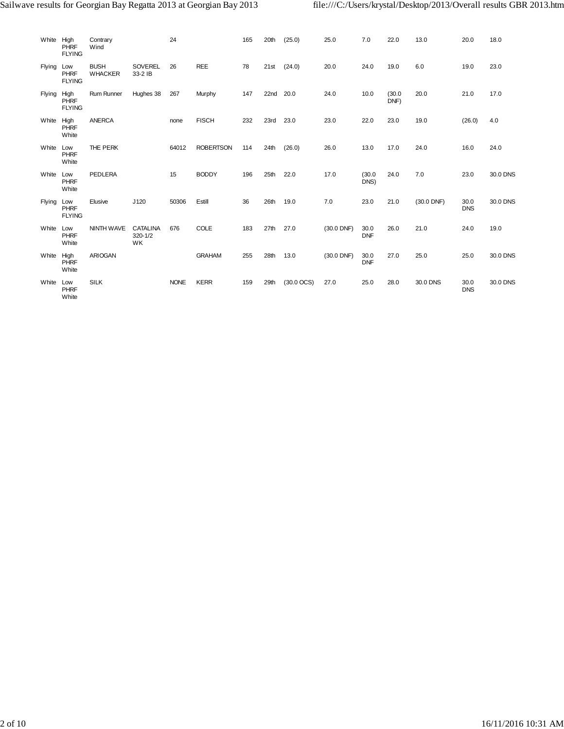| White High | <b>PHRF</b><br><b>FLYING</b>         | Contrary<br>Wind              |                                      | 24          |                  | 165 | 20th | (25.0)                 | 25.0       | 7.0                | 22.0           | 13.0         | 20.0               | 18.0     |
|------------|--------------------------------------|-------------------------------|--------------------------------------|-------------|------------------|-----|------|------------------------|------------|--------------------|----------------|--------------|--------------------|----------|
| Flying     | Low<br><b>PHRF</b><br><b>FLYING</b>  | <b>BUSH</b><br><b>WHACKER</b> | <b>SOVEREL</b><br>33-2 IB            | 26          | <b>REE</b>       | 78  | 21st | (24.0)                 | 20.0       | 24.0               | 19.0           | 6.0          | 19.0               | 23.0     |
| Flying     | High<br><b>PHRF</b><br><b>FLYING</b> | Rum Runner                    | Hughes 38                            | 267         | Murphy           | 147 | 22nd | 20.0                   | 24.0       | 10.0               | (30.0)<br>DNF) | 20.0         | 21.0               | 17.0     |
| White High | <b>PHRF</b><br>White                 | <b>ANERCA</b>                 |                                      | none        | <b>FISCH</b>     | 232 | 23rd | 23.0                   | 23.0       | 22.0               | 23.0           | 19.0         | (26.0)             | 4.0      |
| White      | Low<br><b>PHRF</b><br>White          | THE PERK                      |                                      | 64012       | <b>ROBERTSON</b> | 114 | 24th | (26.0)                 | 26.0       | 13.0               | 17.0           | 24.0         | 16.0               | 24.0     |
| White Low  | <b>PHRF</b><br>White                 | PEDLERA                       |                                      | 15          | <b>BODDY</b>     | 196 | 25th | 22.0                   | 17.0       | (30.0)<br>DNS)     | 24.0           | 7.0          | 23.0               | 30.0 DNS |
| Flying Low | <b>PHRF</b><br><b>FLYING</b>         | Elusive                       | J120                                 | 50306       | Estill           | 36  | 26th | 19.0                   | 7.0        | 23.0               | 21.0           | $(30.0$ DNF) | 30.0<br><b>DNS</b> | 30.0 DNS |
| White      | Low<br><b>PHRF</b><br>White          | NINTH WAVE                    | <b>CATALINA</b><br>$320 - 1/2$<br>WK | 676         | COLE             | 183 | 27th | 27.0                   | (30.0 DNF) | 30.0<br><b>DNF</b> | 26.0           | 21.0         | 24.0               | 19.0     |
| White High | <b>PHRF</b><br>White                 | <b>ARIOGAN</b>                |                                      |             | <b>GRAHAM</b>    | 255 | 28th | 13.0                   | (30.0 DNF) | 30.0<br><b>DNF</b> | 27.0           | 25.0         | 25.0               | 30.0 DNS |
| White      | Low<br><b>PHRF</b><br>White          | <b>SILK</b>                   |                                      | <b>NONE</b> | <b>KERR</b>      | 159 | 29th | $(30.0 \, \text{OCS})$ | 27.0       | 25.0               | 28.0           | 30.0 DNS     | 30.0<br><b>DNS</b> | 30.0 DNS |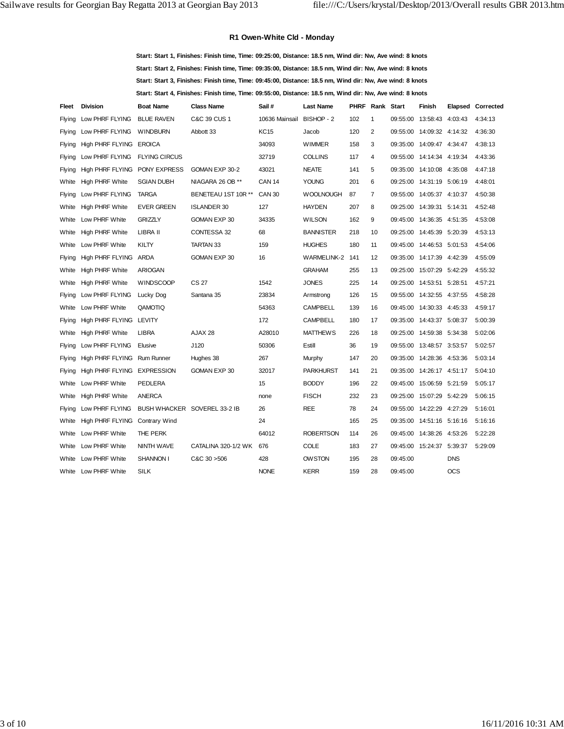# **R1 Owen-White Cld - Monday**

**Start: Start 1, Finishes: Finish time, Time: 09:25:00, Distance: 18.5 nm, Wind dir: Nw, Ave wind: 8 knots Start: Start 2, Finishes: Finish time, Time: 09:35:00, Distance: 18.5 nm, Wind dir: Nw, Ave wind: 8 knots Start: Start 3, Finishes: Finish time, Time: 09:45:00, Distance: 18.5 nm, Wind dir: Nw, Ave wind: 8 knots Start: Start 4, Finishes: Finish time, Time: 09:55:00, Distance: 18.5 nm, Wind dir: Nw, Ave wind: 8 knots**

| Fleet         | <b>Division</b>                | <b>Boat Name</b>     | <b>Class Name</b>            | Sail#                     | <b>Last Name</b>   | <b>PHRF</b> | Rank Start     |          | <b>Finish</b>             | Elapsed    | Corrected |
|---------------|--------------------------------|----------------------|------------------------------|---------------------------|--------------------|-------------|----------------|----------|---------------------------|------------|-----------|
| Flying        | Low PHRF FLYING                | <b>BLUE RAVEN</b>    | C&C 39 CUS 1                 | 10636 Mainsail BISHOP - 2 |                    | 102         | $\mathbf{1}$   | 09:55:00 | 13:58:43 4:03:43          |            | 4:34:13   |
| Flying        | Low PHRF FLYING                | <b>WINDBURN</b>      | Abbott 33                    | <b>KC15</b>               | Jacob              | 120         | $\overline{2}$ | 09:55:00 | 14:09:32 4:14:32          |            | 4:36:30   |
| Flying        | High PHRF FLYING EROICA        |                      |                              | 34093                     | <b>WIMMER</b>      | 158         | 3              |          | 09:35:00 14:09:47 4:34:47 |            | 4:38:13   |
| <b>Flying</b> | Low PHRF FLYING                | <b>FLYING CIRCUS</b> |                              | 32719                     | <b>COLLINS</b>     | 117         | 4              | 09:55:00 | 14:14:34 4:19:34          |            | 4:43:36   |
| Flying        | High PHRF FLYING PONY EXPRESS  |                      | GOMAN EXP 30-2               | 43021                     | <b>NEATE</b>       | 141         | 5              |          | 09:35:00 14:10:08 4:35:08 |            | 4:47:18   |
| White         | <b>High PHRF White</b>         | <b>SGIAN DUBH</b>    | NIAGARA 26 OB **             | <b>CAN 14</b>             | <b>YOUNG</b>       | 201         | 6              | 09:25:00 | 14:31:19 5:06:19          |            | 4:48:01   |
| Flying        | Low PHRF FLYING                | <b>TARGA</b>         | BENETEAU 1ST 10R **          | <b>CAN 30</b>             | <b>WOOLNOUGH</b>   | 87          | 7              | 09:55:00 | 14:05:37 4:10:37          |            | 4:50:38   |
| White         | <b>High PHRF White</b>         | <b>EVER GREEN</b>    | <b>ISLANDER 30</b>           | 127                       | <b>HAYDEN</b>      | 207         | 8              | 09:25:00 | 14:39:31 5:14:31          |            | 4:52:48   |
| White         | Low PHRF White                 | <b>GRIZZLY</b>       | GOMAN EXP 30                 | 34335                     | <b>WILSON</b>      | 162         | 9              | 09:45:00 | 14:36:35 4:51:35          |            | 4:53:08   |
| White         | <b>High PHRF White</b>         | LIBRA II             | CONTESSA 32                  | 68                        | <b>BANNISTER</b>   | 218         | 10             | 09:25:00 | 14:45:39 5:20:39          |            | 4:53:13   |
| White         | Low PHRF White                 | KILTY                | <b>TARTAN 33</b>             | 159                       | <b>HUGHES</b>      | 180         | 11             | 09:45:00 | 14:46:53 5:01:53          |            | 4:54:06   |
| Flying        | High PHRF FLYING ARDA          |                      | GOMAN EXP 30                 | 16                        | <b>WARMELINK-2</b> | 141         | 12             | 09:35:00 | 14:17:39 4:42:39          |            | 4:55:09   |
| White         | <b>High PHRF White</b>         | <b>ARIOGAN</b>       |                              |                           | <b>GRAHAM</b>      | 255         | 13             | 09:25:00 | 15:07:29                  | 5:42:29    | 4:55:32   |
| White         | <b>High PHRF White</b>         | <b>WINDSCOOP</b>     | <b>CS 27</b>                 | 1542                      | <b>JONES</b>       | 225         | 14             |          | 09:25:00 14:53:51 5:28:51 |            | 4:57:21   |
| Flying        | Low PHRF FLYING                | Lucky Dog            | Santana 35                   | 23834                     | Armstrong          | 126         | 15             | 09:55:00 | 14:32:55 4:37:55          |            | 4:58:28   |
| White         | Low PHRF White                 | QAMOTIQ              |                              | 54363                     | <b>CAMPBELL</b>    | 139         | 16             |          | 09:45:00 14:30:33 4:45:33 |            | 4:59:17   |
| Flying        | High PHRF FLYING LEVITY        |                      |                              | 172                       | <b>CAMPBELL</b>    | 180         | 17             | 09:35:00 | 14:43:37 5:08:37          |            | 5:00:39   |
| White         | <b>High PHRF White</b>         | <b>LIBRA</b>         | AJAX 28                      | A28010                    | <b>MATTHEWS</b>    | 226         | 18             |          | 09:25:00 14:59:38 5:34:38 |            | 5:02:06   |
| Flying        | Low PHRF FLYING                | Elusive              | J120                         | 50306                     | Estill             | 36          | 19             | 09:55:00 | 13:48:57 3:53:57          |            | 5:02:57   |
| Flying        | High PHRF FLYING Rum Runner    |                      | Hughes 38                    | 267                       | Murphy             | 147         | 20             |          | 09:35:00 14:28:36 4:53:36 |            | 5:03:14   |
| <b>Flying</b> | High PHRF FLYING EXPRESSION    |                      | GOMAN EXP 30                 | 32017                     | <b>PARKHURST</b>   | 141         | 21             |          | 09:35:00 14:26:17 4:51:17 |            | 5:04:10   |
| White         | Low PHRF White                 | <b>PEDLERA</b>       |                              | 15                        | <b>BODDY</b>       | 196         | 22             |          | 09:45:00 15:06:59 5:21:59 |            | 5:05:17   |
| White         | <b>High PHRF White</b>         | <b>ANERCA</b>        |                              | none                      | <b>FISCH</b>       | 232         | 23             | 09:25:00 | 15:07:29 5:42:29          |            | 5:06:15   |
| Flying        | Low PHRF FLYING                |                      | BUSH WHACKER SOVEREL 33-2 IB | 26                        | <b>REE</b>         | 78          | 24             |          | 09:55:00 14:22:29 4:27:29 |            | 5:16:01   |
| White         | High PHRF FLYING Contrary Wind |                      |                              | 24                        |                    | 165         | 25             |          | 09:35:00 14:51:16 5:16:16 |            | 5:16:16   |
| White         | Low PHRF White                 | THE PERK             |                              | 64012                     | <b>ROBERTSON</b>   | 114         | 26             |          | 09:45:00 14:38:26 4:53:26 |            | 5:22:28   |
| White         | Low PHRF White                 | NINTH WAVE           | CATALINA 320-1/2 WK          | 676                       | <b>COLE</b>        | 183         | 27             |          | 09:45:00 15:24:37 5:39:37 |            | 5:29:09   |
| White         | Low PHRF White                 | <b>SHANNON I</b>     | C&C30>506                    | 428                       | <b>OWSTON</b>      | 195         | 28             | 09:45:00 |                           | <b>DNS</b> |           |
| White         | Low PHRF White                 | <b>SILK</b>          |                              | <b>NONE</b>               | <b>KERR</b>        | 159         | 28             | 09:45:00 |                           | <b>OCS</b> |           |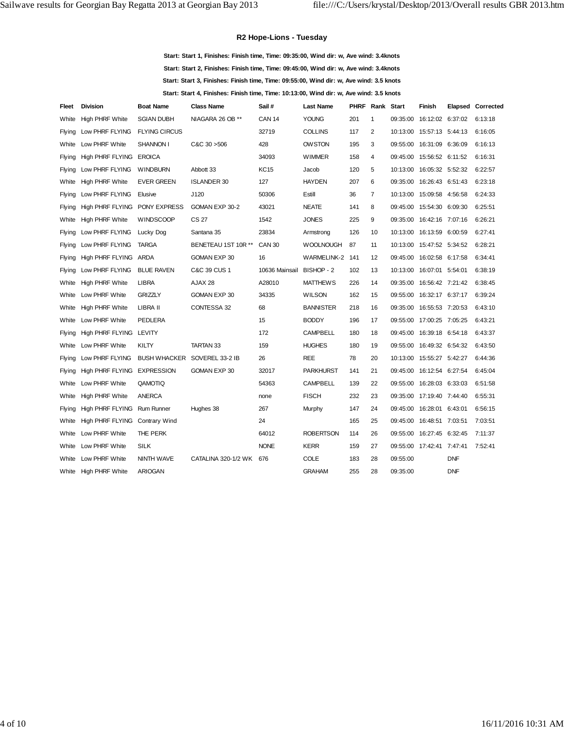#### **R2 Hope-Lions - Tuesday**

**Start: Start 1, Finishes: Finish time, Time: 09:35:00, Wind dir: w, Ave wind: 3.4knots Start: Start 2, Finishes: Finish time, Time: 09:45:00, Wind dir: w, Ave wind: 3.4knots Start: Start 3, Finishes: Finish time, Time: 09:55:00, Wind dir: w, Ave wind: 3.5 knots Start: Start 4, Finishes: Finish time, Time: 10:13:00, Wind dir: w, Ave wind: 3.5 knots**

| Fleet         | <b>Division</b>                | <b>Boat Name</b>     | <b>Class Name</b>            | Sail#                     | <b>Last Name</b> | PHRF | Rank Start     |          | Finish                      |            | Elapsed Corrected |
|---------------|--------------------------------|----------------------|------------------------------|---------------------------|------------------|------|----------------|----------|-----------------------------|------------|-------------------|
| White         | <b>High PHRF White</b>         | <b>SGIAN DUBH</b>    | NIAGARA 26 OB **             | <b>CAN 14</b>             | <b>YOUNG</b>     | 201  | 1              | 09:35:00 | 16:12:02 6:37:02            |            | 6:13:18           |
| <b>Flying</b> | Low PHRF FLYING                | <b>FLYING CIRCUS</b> |                              | 32719                     | <b>COLLINS</b>   | 117  | 2              |          | 10:13:00  15:57:13  5:44:13 |            | 6:16:05           |
| White         | Low PHRF White                 | SHANNON I            | C&C30>506                    | 428                       | <b>OW STON</b>   | 195  | 3              | 09:55:00 | 16:31:09 6:36:09            |            | 6:16:13           |
| Flying        | High PHRF FLYING EROICA        |                      |                              | 34093                     | <b>WIMMER</b>    | 158  | 4              |          | 09:45:00 15:56:52 6:11:52   |            | 6:16:31           |
| Flying        | Low PHRF FLYING                | <b>WINDBURN</b>      | Abbott 33                    | <b>KC15</b>               | Jacob            | 120  | 5              | 10:13:00 | 16:05:32 5:52:32            |            | 6:22:57           |
| White         | <b>High PHRF White</b>         | <b>EVER GREEN</b>    | <b>ISLANDER 30</b>           | 127                       | <b>HAYDEN</b>    | 207  | 6              |          | 09:35:00 16:26:43 6:51:43   |            | 6:23:18           |
| <b>Flying</b> | Low PHRF FLYING                | Elusive              | J120                         | 50306                     | Estill           | 36   | $\overline{7}$ | 10:13:00 | 15:09:58 4:56:58            |            | 6:24:33           |
| Flying        | High PHRF FLYING PONY EXPRESS  |                      | GOMAN EXP 30-2               | 43021                     | <b>NEATE</b>     | 141  | 8              | 09:45:00 | 15:54:30 6:09:30            |            | 6:25:51           |
| White         | <b>High PHRF White</b>         | <b>WINDSCOOP</b>     | CS 27                        | 1542                      | <b>JONES</b>     | 225  | 9              |          | 09:35:00 16:42:16 7:07:16   |            | 6:26:21           |
| Flying        | Low PHRF FLYING                | Lucky Dog            | Santana 35                   | 23834                     | Armstrong        | 126  | 10             |          | 10:13:00  16:13:59  6:00:59 |            | 6:27:41           |
| <b>Flying</b> | Low PHRF FLYING                | <b>TARGA</b>         | BENETEAU 1ST 10R **          | <b>CAN 30</b>             | <b>WOOLNOUGH</b> | 87   | 11             |          | 10:13:00  15:47:52  5:34:52 |            | 6:28:21           |
| <b>Flying</b> | High PHRF FLYING ARDA          |                      | GOMAN EXP 30                 | 16                        | WARMELINK-2 141  |      | 12             |          | 09:45:00 16:02:58 6:17:58   |            | 6:34:41           |
| Flying        | Low PHRF FLYING                | <b>BLUE RAVEN</b>    | C&C 39 CUS 1                 | 10636 Mainsail BISHOP - 2 |                  | 102  | 13             | 10:13:00 | 16:07:01 5:54:01            |            | 6:38:19           |
| White         | <b>High PHRF White</b>         | <b>LIBRA</b>         | AJAX 28                      | A28010                    | <b>MATTHEWS</b>  | 226  | 14             | 09:35:00 | 16:56:42 7:21:42            |            | 6:38:45           |
| White         | Low PHRF White                 | <b>GRIZZLY</b>       | GOMAN EXP 30                 | 34335                     | <b>WILSON</b>    | 162  | 15             | 09:55:00 | 16:32:17 6:37:17            |            | 6:39:24           |
| White         | <b>High PHRF White</b>         | LIBRA II             | CONTESSA 32                  | 68                        | <b>BANNISTER</b> | 218  | 16             | 09:35:00 | 16:55:53 7:20:53            |            | 6:43:10           |
| White         | Low PHRF White                 | <b>PEDLERA</b>       |                              | 15                        | <b>BODDY</b>     | 196  | 17             | 09:55:00 | 17:00:25 7:05:25            |            | 6:43:21           |
| Flying        | High PHRF FLYING LEVITY        |                      |                              | 172                       | <b>CAMPBELL</b>  | 180  | 18             |          | 09:45:00 16:39:18 6:54:18   |            | 6:43:37           |
| White         | Low PHRF White                 | KILTY                | <b>TARTAN 33</b>             | 159                       | <b>HUGHES</b>    | 180  | 19             | 09:55:00 | 16:49:32 6:54:32            |            | 6:43:50           |
| Flying        | Low PHRF FLYING                |                      | BUSH WHACKER SOVEREL 33-2 IB | 26                        | <b>REE</b>       | 78   | 20             |          | 10:13:00  15:55:27  5:42:27 |            | 6:44:36           |
| Flying        | High PHRF FLYING EXPRESSION    |                      | GOMAN EXP 30                 | 32017                     | <b>PARKHURST</b> | 141  | 21             |          | 09:45:00 16:12:54 6:27:54   |            | 6:45:04           |
| White         | Low PHRF White                 | QAMOTIQ              |                              | 54363                     | <b>CAMPBELL</b>  | 139  | 22             | 09:55:00 | 16:28:03 6:33:03            |            | 6:51:58           |
| White         | <b>High PHRF White</b>         | <b>ANERCA</b>        |                              | none                      | <b>FISCH</b>     | 232  | 23             | 09:35:00 | 17:19:40 7:44:40            |            | 6:55:31           |
| Flying        | High PHRF FLYING               | <b>Rum Runner</b>    | Hughes 38                    | 267                       | Murphy           | 147  | 24             |          | 09:45:00 16:28:01 6:43:01   |            | 6:56:15           |
| White         | High PHRF FLYING Contrary Wind |                      |                              | 24                        |                  | 165  | 25             | 09:45:00 | 16:48:51 7:03:51            |            | 7:03:51           |
| White         | Low PHRF White                 | THE PERK             |                              | 64012                     | <b>ROBERTSON</b> | 114  | 26             | 09:55:00 | 16:27:45 6:32:45            |            | 7:11:37           |
| White         | Low PHRF White                 | SILK                 |                              | <b>NONE</b>               | <b>KERR</b>      | 159  | 27             |          | 09:55:00 17:42:41 7:47:41   |            | 7:52:41           |
| White         | Low PHRF White                 | NINTH WAVE           | CATALINA 320-1/2 WK          | 676                       | <b>COLE</b>      | 183  | 28             | 09:55:00 |                             | <b>DNF</b> |                   |
| White         | <b>High PHRF White</b>         | <b>ARIOGAN</b>       |                              |                           | <b>GRAHAM</b>    | 255  | 28             | 09:35:00 |                             | <b>DNF</b> |                   |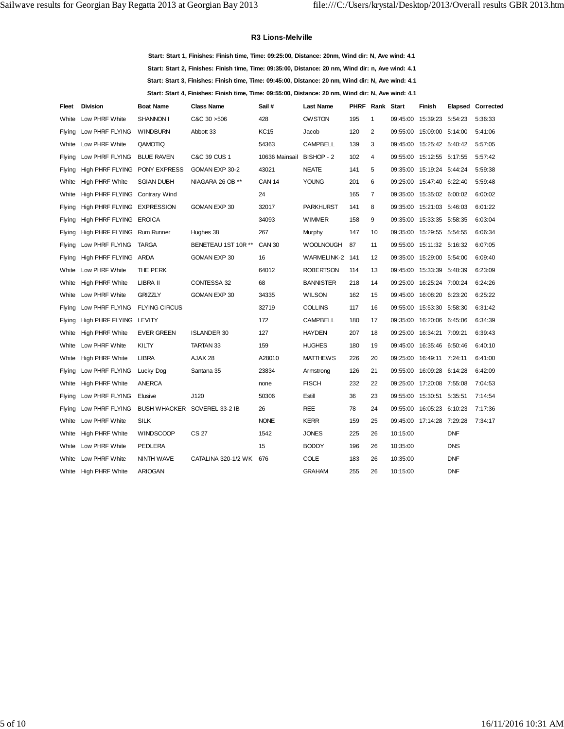#### **R3 Lions-Melville**

**Start: Start 1, Finishes: Finish time, Time: 09:25:00, Distance: 20nm, Wind dir: N, Ave wind: 4.1 Start: Start 2, Finishes: Finish time, Time: 09:35:00, Distance: 20 nm, Wind dir: n, Ave wind: 4.1 Start: Start 3, Finishes: Finish time, Time: 09:45:00, Distance: 20 nm, Wind dir: N, Ave wind: 4.1 Start: Start 4, Finishes: Finish time, Time: 09:55:00, Distance: 20 nm, Wind dir: N, Ave wind: 4.1**

| Fleet         | <b>Division</b>                | <b>Boat Name</b>     | <b>Class Name</b>            | Sail#                     | <b>Last Name</b> | PHRF | Rank Start     |          | Finish                    |            | Elapsed Corrected |
|---------------|--------------------------------|----------------------|------------------------------|---------------------------|------------------|------|----------------|----------|---------------------------|------------|-------------------|
| White         | Low PHRF White                 | <b>SHANNON I</b>     | C&C30>506                    | 428                       | <b>OW STON</b>   | 195  | 1              |          | 09:45:00 15:39:23 5:54:23 |            | 5:36:33           |
| Flying        | Low PHRF FLYING                | <b>WINDBURN</b>      | Abbott 33                    | KC15                      | Jacob            | 120  | 2              |          | 09:55:00 15:09:00 5:14:00 |            | 5:41:06           |
| White         | Low PHRF White                 | QAMOTIQ              |                              | 54363                     | <b>CAMPBELL</b>  | 139  | 3              |          | 09:45:00 15:25:42 5:40:42 |            | 5:57:05           |
| Flying        | Low PHRF FLYING                | <b>BLUE RAVEN</b>    | C&C 39 CUS 1                 | 10636 Mainsail BISHOP - 2 |                  | 102  | 4              |          | 09:55:00 15:12:55 5:17:55 |            | 5:57:42           |
| Flying        | High PHRF FLYING PONY EXPRESS  |                      | GOMAN EXP 30-2               | 43021                     | <b>NEATE</b>     | 141  | 5              |          | 09:35:00 15:19:24 5:44:24 |            | 5:59:38           |
| White         | High PHRF White                | <b>SGIAN DUBH</b>    | NIAGARA 26 OB **             | <b>CAN 14</b>             | <b>YOUNG</b>     | 201  | 6              |          | 09:25:00 15:47:40 6:22:40 |            | 5:59:48           |
| White         | High PHRF FLYING Contrary Wind |                      |                              | 24                        |                  | 165  | $\overline{7}$ |          | 09:35:00 15:35:02 6:00:02 |            | 6:00:02           |
| Flying        | High PHRF FLYING EXPRESSION    |                      | GOMAN EXP 30                 | 32017                     | <b>PARKHURST</b> | 141  | 8              |          | 09:35:00 15:21:03 5:46:03 |            | 6:01:22           |
| Flying        | High PHRF FLYING EROICA        |                      |                              | 34093                     | <b>WIMMER</b>    | 158  | 9              |          | 09:35:00 15:33:35 5:58:35 |            | 6:03:04           |
| Flying        | High PHRF FLYING Rum Runner    |                      | Hughes 38                    | 267                       | Murphy           | 147  | 10             |          | 09:35:00 15:29:55 5:54:55 |            | 6:06:34           |
| Flying        | Low PHRF FLYING                | <b>TARGA</b>         | BENETEAU 1ST 10R **          | <b>CAN 30</b>             | <b>WOOLNOUGH</b> | 87   | 11             |          | 09:55:00 15:11:32 5:16:32 |            | 6:07:05           |
| Flying        | High PHRF FLYING ARDA          |                      | GOMAN EXP 30                 | 16                        | WARMELINK-2 141  |      | 12             |          | 09:35:00 15:29:00 5:54:00 |            | 6:09:40           |
| White         | Low PHRF White                 | THE PERK             |                              | 64012                     | <b>ROBERTSON</b> | 114  | 13             | 09:45:00 | 15:33:39 5:48:39          |            | 6:23:09           |
| White         | <b>High PHRF White</b>         | LIBRA II             | CONTESSA 32                  | 68                        | <b>BANNISTER</b> | 218  | 14             |          | 09:25:00 16:25:24 7:00:24 |            | 6:24:26           |
| White         | Low PHRF White                 | <b>GRIZZLY</b>       | GOMAN EXP 30                 | 34335                     | <b>WILSON</b>    | 162  | 15             | 09:45:00 | 16:08:20 6:23:20          |            | 6:25:22           |
| Flying        | Low PHRF FLYING                | <b>FLYING CIRCUS</b> |                              | 32719                     | <b>COLLINS</b>   | 117  | 16             |          | 09:55:00 15:53:30 5:58:30 |            | 6:31:42           |
| Flying        | High PHRF FLYING LEVITY        |                      |                              | 172                       | <b>CAMPBELL</b>  | 180  | 17             |          | 09:35:00 16:20:06 6:45:06 |            | 6:34:39           |
| White         | <b>High PHRF White</b>         | <b>EVER GREEN</b>    | <b>ISLANDER 30</b>           | 127                       | <b>HAYDEN</b>    | 207  | 18             |          | 09:25:00 16:34:21 7:09:21 |            | 6:39:43           |
| White         | Low PHRF White                 | KILTY                | <b>TARTAN 33</b>             | 159                       | <b>HUGHES</b>    | 180  | 19             |          | 09:45:00 16:35:46 6:50:46 |            | 6:40:10           |
| White         | <b>High PHRF White</b>         | <b>LIBRA</b>         | AJAX <sub>28</sub>           | A28010                    | <b>MATTHEWS</b>  | 226  | 20             |          | 09:25:00 16:49:11 7:24:11 |            | 6:41:00           |
| <b>Flying</b> | Low PHRF FLYING                | Lucky Dog            | Santana 35                   | 23834                     | Armstrong        | 126  | 21             |          | 09:55:00 16:09:28 6:14:28 |            | 6:42:09           |
| White         | High PHRF White                | <b>ANERCA</b>        |                              | none                      | <b>FISCH</b>     | 232  | 22             |          | 09:25:00 17:20:08 7:55:08 |            | 7:04:53           |
| Flying        | Low PHRF FLYING                | Elusive              | J120                         | 50306                     | Estill           | 36   | 23             | 09:55:00 | 15:30:51 5:35:51          |            | 7:14:54           |
| Flying        | Low PHRF FLYING                |                      | BUSH WHACKER SOVEREL 33-2 IB | 26                        | <b>REE</b>       | 78   | 24             |          | 09:55:00 16:05:23 6:10:23 |            | 7:17:36           |
| White         | Low PHRF White                 | <b>SILK</b>          |                              | <b>NONE</b>               | KERR             | 159  | 25             |          | 09:45:00 17:14:28 7:29:28 |            | 7:34:17           |
| White         | <b>High PHRF White</b>         | <b>WINDSCOOP</b>     | CS 27                        | 1542                      | <b>JONES</b>     | 225  | 26             | 10:15:00 |                           | <b>DNF</b> |                   |
| White         | Low PHRF White                 | <b>PEDLERA</b>       |                              | 15                        | <b>BODDY</b>     | 196  | 26             | 10:35:00 |                           | <b>DNS</b> |                   |
| White         | Low PHRF White                 | NINTH WAVE           | CATALINA 320-1/2 WK          | 676                       | <b>COLE</b>      | 183  | 26             | 10:35:00 |                           | <b>DNF</b> |                   |
| White         | <b>High PHRF White</b>         | <b>ARIOGAN</b>       |                              |                           | <b>GRAHAM</b>    | 255  | 26             | 10:15:00 |                           | <b>DNF</b> |                   |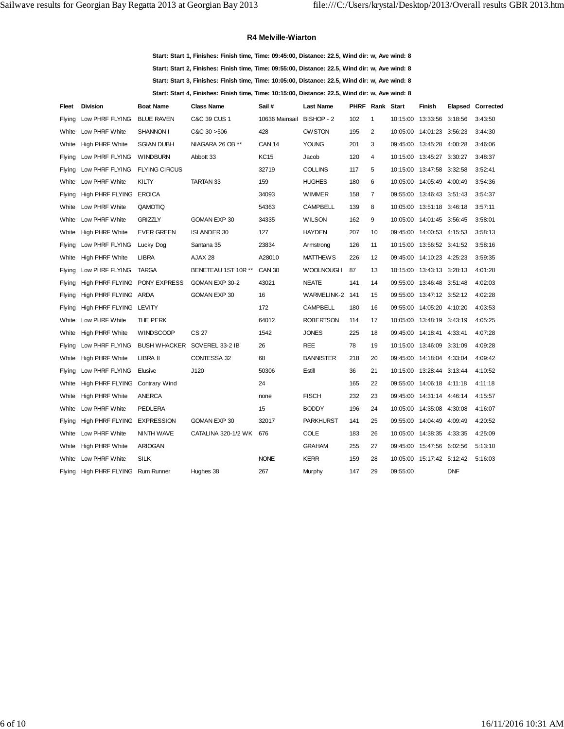#### **R4 Melville-Wiarton**

**Start: Start 1, Finishes: Finish time, Time: 09:45:00, Distance: 22.5, Wind dir: w, Ave wind: 8 Start: Start 2, Finishes: Finish time, Time: 09:55:00, Distance: 22.5, Wind dir: w, Ave wind: 8 Start: Start 3, Finishes: Finish time, Time: 10:05:00, Distance: 22.5, Wind dir: w, Ave wind: 8 Start: Start 4, Finishes: Finish time, Time: 10:15:00, Distance: 22.5, Wind dir: w, Ave wind: 8**

| Fleet  | <b>Division</b>               | <b>Boat Name</b>     | <b>Class Name</b>            | Sail #                    | <b>Last Name</b> | PHRF | Rank Start     |          | Finish                      |            | Elapsed Corrected |
|--------|-------------------------------|----------------------|------------------------------|---------------------------|------------------|------|----------------|----------|-----------------------------|------------|-------------------|
| Flying | Low PHRF FLYING               | <b>BLUE RAVEN</b>    | C&C 39 CUS 1                 | 10636 Mainsail BISHOP - 2 |                  | 102  | $\mathbf{1}$   |          | 10:15:00  13:33:56  3:18:56 |            | 3:43:50           |
| White  | Low PHRF White                | SHANNON I            | C&C30>506                    | 428                       | <b>OWSTON</b>    | 195  | 2              |          | 10:05:00  14:01:23  3:56:23 |            | 3:44:30           |
| White  | <b>High PHRF White</b>        | <b>SGIAN DUBH</b>    | NIAGARA 26 OB **             | <b>CAN 14</b>             | <b>YOUNG</b>     | 201  | 3              | 09:45:00 | 13:45:28 4:00:28            |            | 3:46:06           |
| Flying | Low PHRF FLYING               | <b>WINDBURN</b>      | Abbott 33                    | <b>KC15</b>               | Jacob            | 120  | 4              |          | 10:15:00  13:45:27  3:30:27 |            | 3:48:37           |
| Flying | Low PHRF FLYING               | <b>FLYING CIRCUS</b> |                              | 32719                     | <b>COLLINS</b>   | 117  | 5              |          | 10:15:00  13:47:58  3:32:58 |            | 3:52:41           |
| White  | Low PHRF White                | KILTY                | <b>TARTAN 33</b>             | 159                       | <b>HUGHES</b>    | 180  | 6              |          | 10:05:00  14:05:49  4:00:49 |            | 3:54:36           |
| Flying | High PHRF FLYING              | <b>EROICA</b>        |                              | 34093                     | <b>WIMMER</b>    | 158  | $\overline{7}$ |          | 09:55:00 13:46:43 3:51:43   |            | 3:54:37           |
| White  | Low PHRF White                | QAMOTIQ              |                              | 54363                     | <b>CAMPBELL</b>  | 139  | 8              |          | 10:05:00  13:51:18  3:46:18 |            | 3:57:11           |
| White  | Low PHRF White                | <b>GRIZZLY</b>       | GOMAN EXP 30                 | 34335                     | <b>WILSON</b>    | 162  | 9              |          | 10:05:00  14:01:45  3:56:45 |            | 3:58:01           |
| White  | <b>High PHRF White</b>        | <b>EVER GREEN</b>    | <b>ISLANDER 30</b>           | 127                       | <b>HAYDEN</b>    | 207  | 10             |          | 09:45:00 14:00:53 4:15:53   |            | 3:58:13           |
| Flying | Low PHRF FLYING               | Lucky Dog            | Santana 35                   | 23834                     | Armstrong        | 126  | 11             | 10:15:00 | 13:56:52 3:41:52            |            | 3:58:16           |
| White  | <b>High PHRF White</b>        | <b>LIBRA</b>         | AJAX 28                      | A28010                    | <b>MATTHEWS</b>  | 226  | 12             |          | 09:45:00 14:10:23 4:25:23   |            | 3:59:35           |
| Flying | Low PHRF FLYING               | <b>TARGA</b>         | BENETEAU 1ST 10R **          | <b>CAN 30</b>             | <b>WOOLNOUGH</b> | 87   | 13             |          | 10:15:00  13:43:13  3:28:13 |            | 4:01:28           |
| Flying | High PHRF FLYING PONY EXPRESS |                      | GOMAN EXP 30-2               | 43021                     | <b>NEATE</b>     | 141  | 14             |          | 09:55:00 13:46:48 3:51:48   |            | 4:02:03           |
| Flying | High PHRF FLYING ARDA         |                      | GOMAN EXP 30                 | 16                        | WARMELINK-2 141  |      | 15             | 09:55:00 | 13:47:12 3:52:12            |            | 4:02:28           |
| Flying | High PHRF FLYING LEVITY       |                      |                              | 172                       | <b>CAMPBELL</b>  | 180  | 16             |          | 09:55:00 14:05:20 4:10:20   |            | 4:03:53           |
| White  | Low PHRF White                | THE PERK             |                              | 64012                     | <b>ROBERTSON</b> | 114  | 17             |          | 10:05:00  13:48:19  3:43:19 |            | 4:05:25           |
| White  | <b>High PHRF White</b>        | <b>WINDSCOOP</b>     | CS 27                        | 1542                      | <b>JONES</b>     | 225  | 18             |          | 09:45:00 14:18:41 4:33:41   |            | 4:07:28           |
| Flying | Low PHRF FLYING               |                      | BUSH WHACKER SOVEREL 33-2 IB | 26                        | <b>REE</b>       | 78   | 19             |          | 10:15:00  13:46:09  3:31:09 |            | 4:09:28           |
| White  | <b>High PHRF White</b>        | LIBRA II             | CONTESSA 32                  | 68                        | <b>BANNISTER</b> | 218  | 20             |          | 09:45:00 14:18:04 4:33:04   |            | 4:09:42           |
| Flying | Low PHRF FLYING               | Elusive              | J120                         | 50306                     | Estill           | 36   | 21             |          | 10:15:00  13:28:44  3:13:44 |            | 4:10:52           |
| White  | High PHRF FLYING              | Contrary Wind        |                              | 24                        |                  | 165  | 22             |          | 09:55:00 14:06:18 4:11:18   |            | 4:11:18           |
| White  | High PHRF White               | <b>ANERCA</b>        |                              | none                      | <b>FISCH</b>     | 232  | 23             |          | 09:45:00 14:31:14 4:46:14   |            | 4:15:57           |
| White  | Low PHRF White                | <b>PEDLERA</b>       |                              | 15                        | <b>BODDY</b>     | 196  | 24             |          | 10:05:00  14:35:08  4:30:08 |            | 4:16:07           |
| Flying | High PHRF FLYING              | <b>EXPRESSION</b>    | GOMAN EXP 30                 | 32017                     | <b>PARKHURST</b> | 141  | 25             |          | 09:55:00 14:04:49 4:09:49   |            | 4:20:52           |
| White  | Low PHRF White                | NINTH WAVE           | CATALINA 320-1/2 WK          | 676                       | COLE             | 183  | 26             |          | 10:05:00  14:38:35  4:33:35 |            | 4:25:09           |
| White  | <b>High PHRF White</b>        | <b>ARIOGAN</b>       |                              |                           | <b>GRAHAM</b>    | 255  | 27             |          | 09:45:00 15:47:56 6:02:56   |            | 5:13:10           |
| White  | Low PHRF White                | <b>SILK</b>          |                              | <b>NONE</b>               | <b>KERR</b>      | 159  | 28             |          | 10:05:00  15:17:42  5:12:42 |            | 5:16:03           |
| Flying | High PHRF FLYING Rum Runner   |                      | Hughes 38                    | 267                       | Murphy           | 147  | 29             | 09:55:00 |                             | <b>DNF</b> |                   |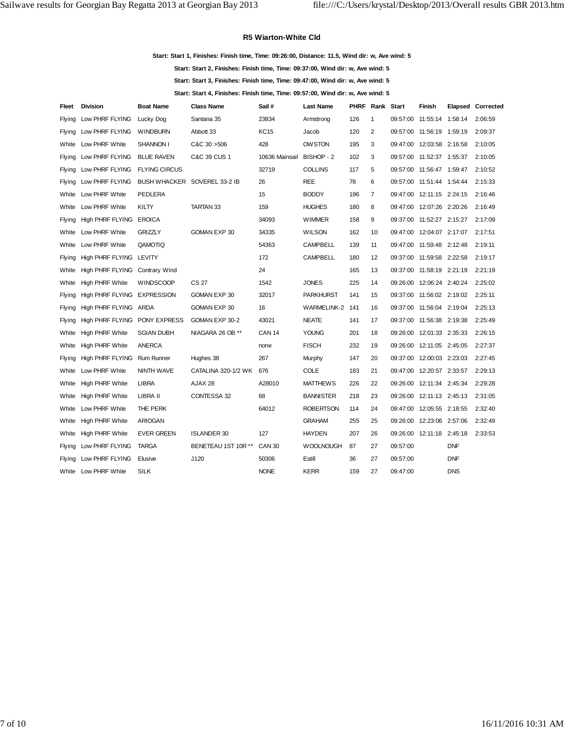#### **R5 Wiarton-White Cld**

**Start: Start 1, Finishes: Finish time, Time: 09:26:00, Distance: 11.5, Wind dir: w, Ave wind: 5**

**Start: Start 2, Finishes: Finish time, Time: 09:37:00, Wind dir: w, Ave wind: 5**

**Start: Start 3, Finishes: Finish time, Time: 09:47:00, Wind dir: w, Ave wind: 5**

**Start: Start 4, Finishes: Finish time, Time: 09:57:00, Wind dir: w, Ave wind: 5**

| Fleet         | <b>Division</b>                | <b>Boat Name</b>     | <b>Class Name</b>            | Sail#          | <b>Last Name</b>   | PHRF | Rank Start     |          | Finish                    |            | Elapsed Corrected |
|---------------|--------------------------------|----------------------|------------------------------|----------------|--------------------|------|----------------|----------|---------------------------|------------|-------------------|
| Flying        | Low PHRF FLYING                | Lucky Dog            | Santana 35                   | 23834          | Armstrong          | 126  | 1              |          | 09:57:00 11:55:14 1:58:14 |            | 2:06:59           |
| <b>Flying</b> | Low PHRF FLYING                | <b>WINDBURN</b>      | Abbott 33                    | <b>KC15</b>    | Jacob              | 120  | 2              |          | 09:57:00 11:56:19 1:59:19 |            | 2:09:37           |
| White         | Low PHRF White                 | <b>SHANNON I</b>     | C&C30>506                    | 428            | <b>OWSTON</b>      | 195  | 3              |          | 09:47:00 12:03:58 2:16:58 |            | 2:10:05           |
| Flying        | Low PHRF FLYING                | <b>BLUE RAVEN</b>    | C&C 39 CUS 1                 | 10636 Mainsail | BISHOP - 2         | 102  | 3              | 09:57:00 | 11:52:37 1:55:37          |            | 2:10:05           |
| <b>Flying</b> | Low PHRF FLYING                | <b>FLYING CIRCUS</b> |                              | 32719          | <b>COLLINS</b>     | 117  | 5              |          | 09:57:00 11:56:47 1:59:47 |            | 2:10:52           |
| <b>Flying</b> | Low PHRF FLYING                |                      | BUSH WHACKER SOVEREL 33-2 IB | 26             | <b>REE</b>         | 78   | 6              |          | 09:57:00 11:51:44 1:54:44 |            | 2:15:33           |
| White         | Low PHRF White                 | <b>PEDLERA</b>       |                              | 15             | <b>BODDY</b>       | 196  | $\overline{7}$ |          | 09:47:00 12:11:15 2:24:15 |            | 2:16:46           |
| White         | Low PHRF White                 | KILTY                | <b>TARTAN 33</b>             | 159            | <b>HUGHES</b>      | 180  | 8              | 09:47:00 | 12:07:26 2:20:26          |            | 2:16:49           |
| Flying        | High PHRF FLYING EROICA        |                      |                              | 34093          | <b>WIMMER</b>      | 158  | 9              |          | 09:37:00 11:52:27 2:15:27 |            | 2:17:09           |
| White         | Low PHRF White                 | <b>GRIZZLY</b>       | GOMAN EXP 30                 | 34335          | <b>WILSON</b>      | 162  | 10             | 09:47:00 | 12:04:07 2:17:07          |            | 2:17:51           |
| White         | Low PHRF White                 | QAMOTIQ              |                              | 54363          | <b>CAMPBELL</b>    | 139  | 11             | 09:47:00 | 11:59:48 2:12:48          |            | 2:19:11           |
| Flying        | High PHRF FLYING LEVITY        |                      |                              | 172            | <b>CAMPBELL</b>    | 180  | 12             | 09:37:00 | 11:59:58 2:22:58          |            | 2:19:17           |
| White         | High PHRF FLYING Contrary Wind |                      |                              | 24             |                    | 165  | 13             | 09:37:00 | 11:58:19 2:21:19          |            | 2:21:19           |
| White         | <b>High PHRF White</b>         | <b>WINDSCOOP</b>     | CS 27                        | 1542           | <b>JONES</b>       | 225  | 14             | 09:26:00 | 12:06:24 2:40:24          |            | 2:25:02           |
| Flying        | High PHRF FLYING EXPRESSION    |                      | GOMAN EXP 30                 | 32017          | <b>PARKHURST</b>   | 141  | 15             |          | 09:37:00 11:56:02 2:19:02 |            | 2:25:11           |
| Flying        | High PHRF FLYING ARDA          |                      | GOMAN EXP 30                 | 16             | <b>WARMELINK-2</b> | 141  | 16             | 09:37:00 | 11:56:04 2:19:04          |            | 2:25:13           |
| Flying        | High PHRF FLYING PONY EXPRESS  |                      | GOMAN EXP 30-2               | 43021          | <b>NEATE</b>       | 141  | 17             | 09:37:00 | 11:56:38 2:19:38          |            | 2:25:49           |
| White         | <b>High PHRF White</b>         | <b>SGIAN DUBH</b>    | NIAGARA 26 OB **             | <b>CAN 14</b>  | <b>YOUNG</b>       | 201  | 18             |          | 09:26:00 12:01:33 2:35:33 |            | 2:26:15           |
| White         | High PHRF White                | <b>ANERCA</b>        |                              | none           | <b>FISCH</b>       | 232  | 19             | 09:26:00 | 12:11:05 2:45:05          |            | 2:27:37           |
| Flying        | High PHRF FLYING Rum Runner    |                      | Hughes 38                    | 267            | Murphy             | 147  | 20             |          | 09:37:00 12:00:03 2:23:03 |            | 2:27:45           |
| White         | Low PHRF White                 | NINTH WAVE           | CATALINA 320-1/2 WK          | 676            | COLE               | 183  | 21             | 09:47:00 | 12:20:57 2:33:57          |            | 2:29:13           |
| White         | <b>High PHRF White</b>         | <b>LIBRA</b>         | AJAX 28                      | A28010         | <b>MATTHEWS</b>    | 226  | 22             |          | 09:26:00 12:11:34 2:45:34 |            | 2:29:28           |
| White         | High PHRF White                | LIBRA II             | CONTESSA 32                  | 68             | <b>BANNISTER</b>   | 218  | 23             | 09:26:00 | 12:11:13 2:45:13          |            | 2:31:05           |
| White         | Low PHRF White                 | THE PERK             |                              | 64012          | <b>ROBERTSON</b>   | 114  | 24             |          | 09:47:00 12:05:55 2:18:55 |            | 2:32:40           |
| White         | <b>High PHRF White</b>         | <b>ARIOGAN</b>       |                              |                | <b>GRAHAM</b>      | 255  | 25             |          | 09:26:00 12:23:06 2:57:06 |            | 2:32:49           |
| White         | High PHRF White                | <b>EVER GREEN</b>    | <b>ISLANDER 30</b>           | 127            | <b>HAYDEN</b>      | 207  | 26             |          | 09:26:00 12:11:18 2:45:18 |            | 2:33:53           |
| Flying        | Low PHRF FLYING                | <b>TARGA</b>         | BENETEAU 1ST 10R **          | <b>CAN 30</b>  | <b>WOOLNOUGH</b>   | 87   | 27             | 09:57:00 |                           | <b>DNF</b> |                   |
| Flying        | Low PHRF FLYING                | Elusive              | J120                         | 50306          | Estill             | 36   | 27             | 09:57:00 |                           | <b>DNF</b> |                   |
| White         | Low PHRF White                 | <b>SILK</b>          |                              | <b>NONE</b>    | <b>KERR</b>        | 159  | 27             | 09:47:00 |                           | <b>DNS</b> |                   |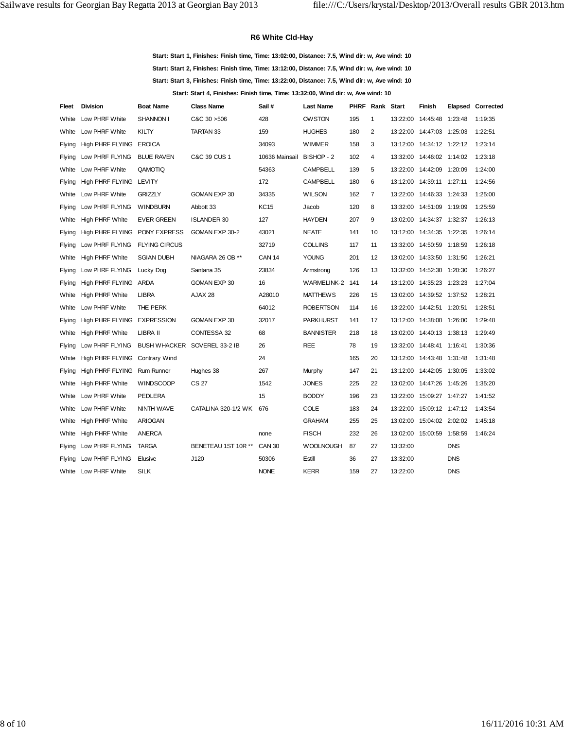### **R6 White Cld-Hay**

**Start: Start 1, Finishes: Finish time, Time: 13:02:00, Distance: 7.5, Wind dir: w, Ave wind: 10 Start: Start 2, Finishes: Finish time, Time: 13:12:00, Distance: 7.5, Wind dir: w, Ave wind: 10 Start: Start 3, Finishes: Finish time, Time: 13:22:00, Distance: 7.5, Wind dir: w, Ave wind: 10 Start: Start 4, Finishes: Finish time, Time: 13:32:00, Wind dir: w, Ave wind: 10**

| Fleet         | <b>Division</b>             | <b>Boat Name</b>     | <b>Class Name</b>            | Sail #         | <b>Last Name</b>   | <b>PHRF Rank Start</b> |                |          | Finish                      |            | Elapsed Corrected |
|---------------|-----------------------------|----------------------|------------------------------|----------------|--------------------|------------------------|----------------|----------|-----------------------------|------------|-------------------|
| White         | Low PHRF White              | SHANNON I            | C&C30>506                    | 428            | <b>OW STON</b>     | 195                    | $\mathbf{1}$   | 13:22:00 | 14:45:48 1:23:48            |            | 1:19:35           |
| White         | Low PHRF White              | KILTY                | TARTAN 33                    | 159            | <b>HUGHES</b>      | 180                    | $\overline{2}$ |          | 13:22:00 14:47:03 1:25:03   |            | 1:22:51           |
| <b>Flying</b> | High PHRF FLYING            | EROICA               |                              | 34093          | <b>WIMMER</b>      | 158                    | 3              |          | 13:12:00  14:34:12  1:22:12 |            | 1:23:14           |
| Flying        | Low PHRF FLYING             | <b>BLUE RAVEN</b>    | C&C 39 CUS 1                 | 10636 Mainsail | BISHOP - 2         | 102                    | 4              |          | 13:32:00  14:46:02  1:14:02 |            | 1:23:18           |
| White         | Low PHRF White              | QAMOTIQ              |                              | 54363          | <b>CAMPBELL</b>    | 139                    | 5              |          | 13:22:00 14:42:09 1:20:09   |            | 1:24:00           |
| Flying        | High PHRF FLYING LEVITY     |                      |                              | 172            | <b>CAMPBELL</b>    | 180                    | 6              |          | 13:12:00  14:39:11  1:27:11 |            | 1:24:56           |
| White         | Low PHRF White              | <b>GRIZZLY</b>       | GOMAN EXP 30                 | 34335          | <b>WILSON</b>      | 162                    | $\overline{7}$ |          | 13:22:00  14:46:33  1:24:33 |            | 1:25:00           |
| <b>Flying</b> | Low PHRF FLYING             | <b>WINDBURN</b>      | Abbott 33                    | <b>KC15</b>    | Jacob              | 120                    | 8              |          | 13:32:00  14:51:09  1:19:09 |            | 1:25:59           |
| White         | <b>High PHRF White</b>      | <b>EVER GREEN</b>    | <b>ISLANDER 30</b>           | 127            | <b>HAYDEN</b>      | 207                    | 9              |          | 13:02:00  14:34:37  1:32:37 |            | 1:26:13           |
| Flying        | High PHRF FLYING            | <b>PONY EXPRESS</b>  | GOMAN EXP 30-2               | 43021          | <b>NEATE</b>       | 141                    | 10             |          | 13:12:00  14:34:35  1:22:35 |            | 1:26:14           |
| <b>Flying</b> | Low PHRF FLYING             | <b>FLYING CIRCUS</b> |                              | 32719          | <b>COLLINS</b>     | 117                    | 11             |          | 13:32:00  14:50:59  1:18:59 |            | 1:26:18           |
| White         | <b>High PHRF White</b>      | <b>SGIAN DUBH</b>    | NIAGARA 26 OB **             | <b>CAN 14</b>  | <b>YOUNG</b>       | 201                    | 12             |          | 13:02:00  14:33:50  1:31:50 |            | 1:26:21           |
| <b>Flying</b> | Low PHRF FLYING             | Lucky Dog            | Santana 35                   | 23834          | Armstrong          | 126                    | 13             |          | 13:32:00  14:52:30  1:20:30 |            | 1:26:27           |
| Flying        | High PHRF FLYING ARDA       |                      | GOMAN EXP 30                 | 16             | <b>WARMELINK-2</b> | 141                    | 14             |          | 13:12:00  14:35:23  1:23:23 |            | 1:27:04           |
| White         | <b>High PHRF White</b>      | <b>LIBRA</b>         | AJAX 28                      | A28010         | <b>MATTHEWS</b>    | 226                    | 15             |          | 13:02:00  14:39:52  1:37:52 |            | 1:28:21           |
| White         | Low PHRF White              | THE PERK             |                              | 64012          | <b>ROBERTSON</b>   | 114                    | 16             | 13:22:00 | 14:42:51 1:20:51            |            | 1:28:51           |
| Flying        | High PHRF FLYING EXPRESSION |                      | GOMAN EXP 30                 | 32017          | <b>PARKHURST</b>   | 141                    | 17             |          | 13:12:00  14:38:00  1:26:00 |            | 1:29:48           |
| White         | <b>High PHRF White</b>      | LIBRA II             | CONTESSA 32                  | 68             | <b>BANNISTER</b>   | 218                    | 18             |          | 13:02:00  14:40:13  1:38:13 |            | 1:29:49           |
| Flying        | Low PHRF FLYING             |                      | BUSH WHACKER SOVEREL 33-2 IB | 26             | <b>REE</b>         | 78                     | 19             |          | 13:32:00  14:48:41  1:16:41 |            | 1:30:36           |
| White         | High PHRF FLYING            | <b>Contrary Wind</b> |                              | 24             |                    | 165                    | 20             |          | 13:12:00  14:43:48  1:31:48 |            | 1:31:48           |
| Flying        | High PHRF FLYING Rum Runner |                      | Hughes 38                    | 267            | Murphy             | 147                    | 21             |          | 13:12:00  14:42:05  1:30:05 |            | 1:33:02           |
| White         | <b>High PHRF White</b>      | <b>WINDSCOOP</b>     | CS 27                        | 1542           | <b>JONES</b>       | 225                    | 22             |          | 13:02:00 14:47:26 1:45:26   |            | 1:35:20           |
| White         | Low PHRF White              | <b>PEDLERA</b>       |                              | 15             | <b>BODDY</b>       | 196                    | 23             |          | 13:22:00 15:09:27 1:47:27   |            | 1:41:52           |
| White         | Low PHRF White              | NINTH WAVE           | CATALINA 320-1/2 WK 676      |                | <b>COLE</b>        | 183                    | 24             | 13:22:00 | 15:09:12 1:47:12            |            | 1:43:54           |
| White         | <b>High PHRF White</b>      | <b>ARIOGAN</b>       |                              |                | <b>GRAHAM</b>      | 255                    | 25             |          | 13:02:00  15:04:02  2:02:02 |            | 1:45:18           |
| White         | <b>High PHRF White</b>      | ANERCA               |                              | none           | <b>FISCH</b>       | 232                    | 26             | 13:02:00 | 15:00:59 1:58:59            |            | 1:46:24           |
| <b>Flying</b> | Low PHRF FLYING             | <b>TARGA</b>         | BENETEAU 1ST 10R **          | <b>CAN 30</b>  | <b>WOOLNOUGH</b>   | 87                     | 27             | 13:32:00 |                             | <b>DNS</b> |                   |
| <b>Flying</b> | Low PHRF FLYING             | Elusive              | J120                         | 50306          | Estill             | 36                     | 27             | 13:32:00 |                             | <b>DNS</b> |                   |
|               | White Low PHRF White        | <b>SILK</b>          |                              | <b>NONE</b>    | <b>KERR</b>        | 159                    | 27             | 13:22:00 |                             | <b>DNS</b> |                   |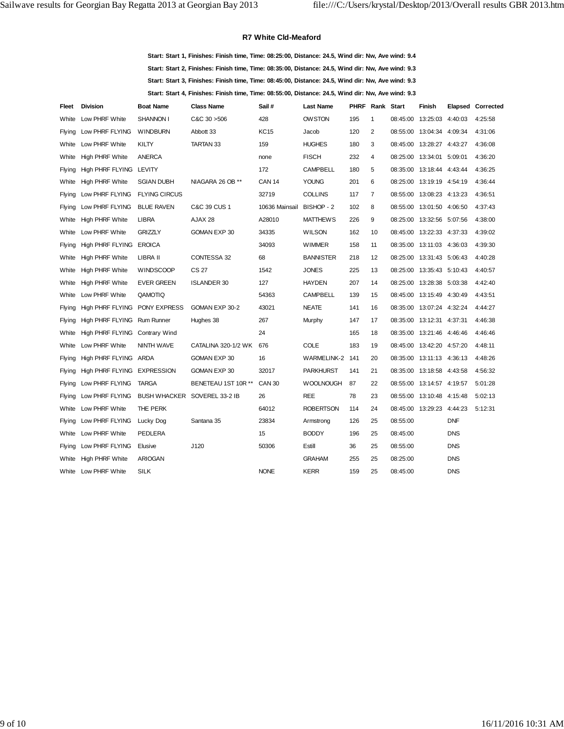#### **R7 White Cld-Meaford**

**Start: Start 1, Finishes: Finish time, Time: 08:25:00, Distance: 24.5, Wind dir: Nw, Ave wind: 9.4 Start: Start 2, Finishes: Finish time, Time: 08:35:00, Distance: 24.5, Wind dir: Nw, Ave wind: 9.3 Start: Start 3, Finishes: Finish time, Time: 08:45:00, Distance: 24.5, Wind dir: Nw, Ave wind: 9.3 Start: Start 4, Finishes: Finish time, Time: 08:55:00, Distance: 24.5, Wind dir: Nw, Ave wind: 9.3**

| Fleet         | <b>Division</b>                | <b>Boat Name</b>     | <b>Class Name</b>            | Sail#          | <b>Last Name</b>   |       | <b>PHRF Rank Start</b> |          | Finish                    |            | Elapsed Corrected |
|---------------|--------------------------------|----------------------|------------------------------|----------------|--------------------|-------|------------------------|----------|---------------------------|------------|-------------------|
| White         | Low PHRF White                 | SHANNON I            | C&C30>506                    | 428            | <b>OW STON</b>     | 195   | 1                      | 08:45:00 | 13:25:03 4:40:03          |            | 4:25:58           |
| <b>Flying</b> | Low PHRF FLYING                | <b>WINDBURN</b>      | Abbott 33                    | KC15           | Jacob              | 120   | 2                      |          | 08:55:00 13:04:34 4:09:34 |            | 4:31:06           |
| White         | Low PHRF White                 | KILTY                | TARTAN 33                    | 159            | <b>HUGHES</b>      | 180   | 3                      | 08:45:00 | 13:28:27 4:43:27          |            | 4:36:08           |
| White         | <b>High PHRF White</b>         | <b>ANERCA</b>        |                              | none           | <b>FISCH</b>       | 232   | 4                      |          | 08:25:00 13:34:01 5:09:01 |            | 4:36:20           |
| <b>Flying</b> | High PHRF FLYING LEVITY        |                      |                              | 172            | <b>CAMPBELL</b>    | 180   | 5                      | 08:35:00 | 13:18:44 4:43:44          |            | 4:36:25           |
| White         | High PHRF White                | <b>SGIAN DUBH</b>    | NIAGARA 26 OB **             | <b>CAN 14</b>  | <b>YOUNG</b>       | 201   | 6                      |          | 08:25:00 13:19:19 4:54:19 |            | 4:36:44           |
| <b>Flying</b> | Low PHRF FLYING                | <b>FLYING CIRCUS</b> |                              | 32719          | <b>COLLINS</b>     | 117   | $\overline{7}$         | 08:55:00 | 13:08:23 4:13:23          |            | 4:36:51           |
| <b>Flying</b> | Low PHRF FLYING                | <b>BLUE RAVEN</b>    | C&C 39 CUS 1                 | 10636 Mainsail | BISHOP - 2         | 102   | 8                      |          | 08:55:00 13:01:50 4:06:50 |            | 4:37:43           |
| White         | <b>High PHRF White</b>         | <b>LIBRA</b>         | AJAX 28                      | A28010         | <b>MATTHEWS</b>    | 226   | 9                      | 08:25:00 | 13:32:56 5:07:56          |            | 4:38:00           |
| White         | Low PHRF White                 | <b>GRIZZLY</b>       | GOMAN EXP 30                 | 34335          | <b>WILSON</b>      | 162   | 10                     |          | 08:45:00 13:22:33 4:37:33 |            | 4:39:02           |
| <b>Flying</b> | High PHRF FLYING EROICA        |                      |                              | 34093          | <b>WIMMER</b>      | 158   | 11                     | 08:35:00 | 13:11:03 4:36:03          |            | 4:39:30           |
| White         | <b>High PHRF White</b>         | LIBRA II             | CONTESSA 32                  | 68             | <b>BANNISTER</b>   | 218   | 12                     |          | 08:25:00 13:31:43 5:06:43 |            | 4:40:28           |
| White         | <b>High PHRF White</b>         | <b>WINDSCOOP</b>     | CS 27                        | 1542           | <b>JONES</b>       | 225   | 13                     | 08:25:00 | 13:35:43 5:10:43          |            | 4:40:57           |
| White         | <b>High PHRF White</b>         | <b>EVER GREEN</b>    | <b>ISLANDER 30</b>           | 127            | <b>HAYDEN</b>      | 207   | 14                     |          | 08:25:00 13:28:38 5:03:38 |            | 4:42:40           |
| White         | Low PHRF White                 | QAMOTIQ              |                              | 54363          | <b>CAMPBELL</b>    | 139   | 15                     | 08:45:00 | 13:15:49 4:30:49          |            | 4:43:51           |
| Flying        | High PHRF FLYING PONY EXPRESS  |                      | GOMAN EXP 30-2               | 43021          | <b>NEATE</b>       | 141   | 16                     |          | 08:35:00 13:07:24 4:32:24 |            | 4:44:27           |
| <b>Flying</b> | High PHRF FLYING Rum Runner    |                      | Hughes 38                    | 267            | Murphy             | 147   | 17                     |          | 08:35:00 13:12:31 4:37:31 |            | 4:46:38           |
| White         | High PHRF FLYING Contrary Wind |                      |                              | 24             |                    | 165   | 18                     |          | 08:35:00 13:21:46 4:46:46 |            | 4:46:46           |
| White         | Low PHRF White                 | NINTH WAVE           | CATALINA 320-1/2 WK          | 676            | <b>COLE</b>        | 183   | 19                     | 08:45:00 | 13:42:20 4:57:20          |            | 4:48:11           |
| <b>Flying</b> | High PHRF FLYING ARDA          |                      | GOMAN EXP 30                 | 16             | <b>WARMELINK-2</b> | - 141 | 20                     |          | 08:35:00 13:11:13 4:36:13 |            | 4:48:26           |
| <b>Flying</b> | High PHRF FLYING EXPRESSION    |                      | GOMAN EXP 30                 | 32017          | <b>PARKHURST</b>   | 141   | 21                     | 08:35:00 | 13:18:58 4:43:58          |            | 4:56:32           |
| Flying        | Low PHRF FLYING                | <b>TARGA</b>         | BENETEAU 1ST 10R **          | <b>CAN 30</b>  | <b>WOOLNOUGH</b>   | 87    | 22                     |          | 08:55:00 13:14:57 4:19:57 |            | 5:01:28           |
| <b>Flying</b> | Low PHRF FLYING                |                      | BUSH WHACKER SOVEREL 33-2 IB | 26             | <b>REE</b>         | 78    | 23                     | 08:55:00 | 13:10:48 4:15:48          |            | 5:02:13           |
| White         | Low PHRF White                 | THE PERK             |                              | 64012          | <b>ROBERTSON</b>   | 114   | 24                     |          | 08:45:00 13:29:23 4:44:23 |            | 5:12:31           |
| Flying        | Low PHRF FLYING                | Lucky Dog            | Santana 35                   | 23834          | Armstrong          | 126   | 25                     | 08:55:00 |                           | <b>DNF</b> |                   |
| White         | Low PHRF White                 | <b>PEDLERA</b>       |                              | 15             | <b>BODDY</b>       | 196   | 25                     | 08:45:00 |                           | <b>DNS</b> |                   |
| <b>Flying</b> | Low PHRF FLYING                | Elusive              | J120                         | 50306          | Estill             | 36    | 25                     | 08:55:00 |                           | <b>DNS</b> |                   |
| White         | <b>High PHRF White</b>         | <b>ARIOGAN</b>       |                              |                | <b>GRAHAM</b>      | 255   | 25                     | 08:25:00 |                           | <b>DNS</b> |                   |
| White         | Low PHRF White                 | <b>SILK</b>          |                              | <b>NONE</b>    | <b>KERR</b>        | 159   | 25                     | 08:45:00 |                           | <b>DNS</b> |                   |